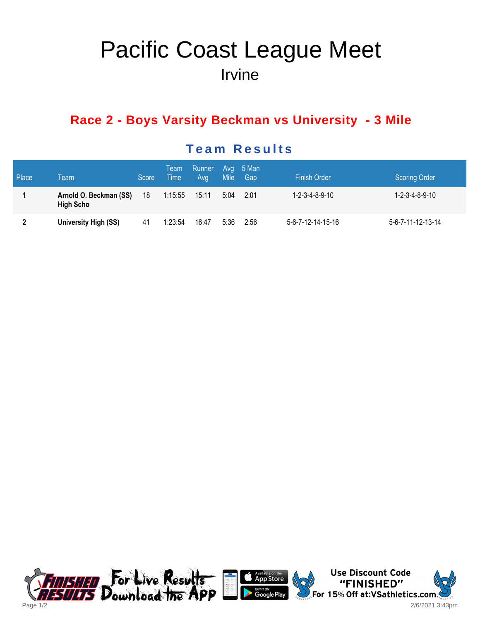# Pacific Coast League Meet Irvine

## **Race 2 - Boys Varsity Beckman vs University - 3 Mile**

| Place        | Team                                       | Score | Team<br>Time | Runner Avg 5 Man<br>Avg | <b>Mile</b> | Gap  | <b>Finish Order</b> | <b>Scoring Order</b>         |
|--------------|--------------------------------------------|-------|--------------|-------------------------|-------------|------|---------------------|------------------------------|
|              | Arnold O. Beckman (SS)<br><b>High Scho</b> | 18    | 1:15:55      | 15:11                   | 5:04        | 2:01 | 1-2-3-4-8-9-10      | $1 - 2 - 3 - 4 - 8 - 9 - 10$ |
| $\mathbf{2}$ | University High (SS)                       | 41    | 1:23:54      | 16:47                   | 5:36        | 2:56 | 5-6-7-12-14-15-16   | 5-6-7-11-12-13-14            |

### **Team Results**